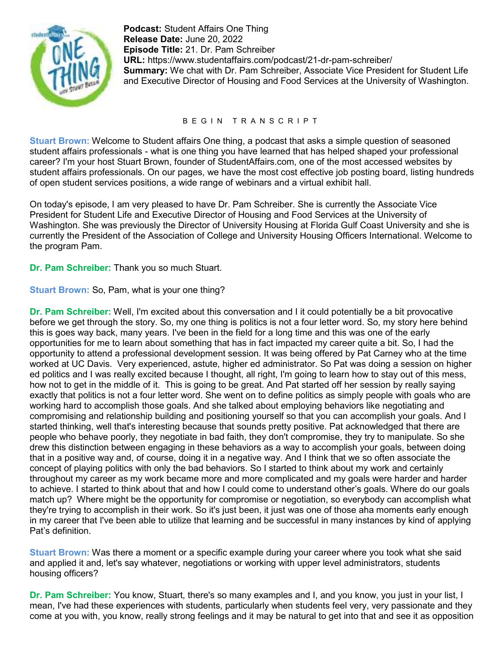

**Podcast:** Student Affairs One Thing **Release Date:** June 20, 2022 **Episode Title:** 21. Dr. Pam Schreiber **URL:** https://www.studentaffairs.com/podcast/21-dr-pam-schreiber/ **Summary:** We chat with Dr. Pam Schreiber, Associate Vice President for Student Life and Executive Director of Housing and Food Services at the University of Washington.

## B E G I N T R A N S C R I P T

**Stuart Brown:** Welcome to Student affairs One thing, a podcast that asks a simple question of seasoned student affairs professionals - what is one thing you have learned that has helped shaped your professional career? I'm your host Stuart Brown, founder of StudentAffairs.com, one of the most accessed websites by student affairs professionals. On our pages, we have the most cost effective job posting board, listing hundreds of open student services positions, a wide range of webinars and a virtual exhibit hall.

On today's episode, I am very pleased to have Dr. Pam Schreiber. She is currently the Associate Vice President for Student Life and Executive Director of Housing and Food Services at the University of Washington. She was previously the Director of University Housing at Florida Gulf Coast University and she is currently the President of the Association of College and University Housing Officers International. Welcome to the program Pam.

**Dr. Pam Schreiber:** Thank you so much Stuart.

**Stuart Brown:** So, Pam, what is your one thing?

**Dr. Pam Schreiber:** Well, I'm excited about this conversation and I it could potentially be a bit provocative before we get through the story. So, my one thing is politics is not a four letter word. So, my story here behind this is goes way back, many years. I've been in the field for a long time and this was one of the early opportunities for me to learn about something that has in fact impacted my career quite a bit. So, I had the opportunity to attend a professional development session. It was being offered by Pat Carney who at the time worked at UC Davis. Very experienced, astute, higher ed administrator. So Pat was doing a session on higher ed politics and I was really excited because I thought, all right, I'm going to learn how to stay out of this mess, how not to get in the middle of it. This is going to be great. And Pat started off her session by really saying exactly that politics is not a four letter word. She went on to define politics as simply people with goals who are working hard to accomplish those goals. And she talked about employing behaviors like negotiating and compromising and relationship building and positioning yourself so that you can accomplish your goals. And I started thinking, well that's interesting because that sounds pretty positive. Pat acknowledged that there are people who behave poorly, they negotiate in bad faith, they don't compromise, they try to manipulate. So she drew this distinction between engaging in these behaviors as a way to accomplish your goals, between doing that in a positive way and, of course, doing it in a negative way. And I think that we so often associate the concept of playing politics with only the bad behaviors. So I started to think about my work and certainly throughout my career as my work became more and more complicated and my goals were harder and harder to achieve. I started to think about that and how I could come to understand other's goals. Where do our goals match up? Where might be the opportunity for compromise or negotiation, so everybody can accomplish what they're trying to accomplish in their work. So it's just been, it just was one of those aha moments early enough in my career that I've been able to utilize that learning and be successful in many instances by kind of applying Pat's definition.

**Stuart Brown:** Was there a moment or a specific example during your career where you took what she said and applied it and, let's say whatever, negotiations or working with upper level administrators, students housing officers?

**Dr. Pam Schreiber:** You know, Stuart, there's so many examples and I, and you know, you just in your list, I mean, I've had these experiences with students, particularly when students feel very, very passionate and they come at you with, you know, really strong feelings and it may be natural to get into that and see it as opposition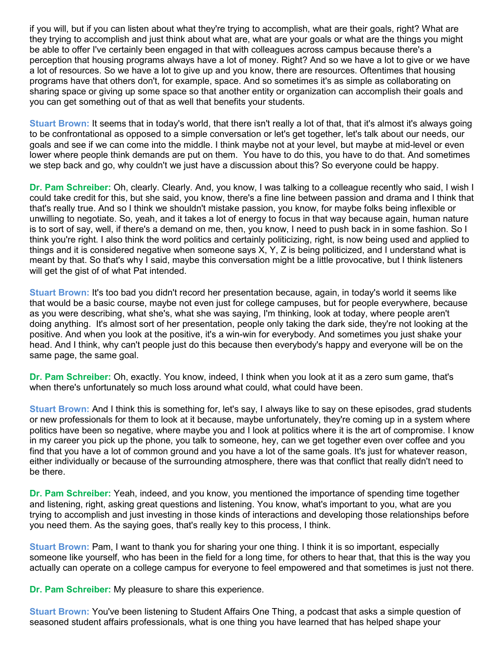if you will, but if you can listen about what they're trying to accomplish, what are their goals, right? What are they trying to accomplish and just think about what are, what are your goals or what are the things you might be able to offer I've certainly been engaged in that with colleagues across campus because there's a perception that housing programs always have a lot of money. Right? And so we have a lot to give or we have a lot of resources. So we have a lot to give up and you know, there are resources. Oftentimes that housing programs have that others don't, for example, space. And so sometimes it's as simple as collaborating on sharing space or giving up some space so that another entity or organization can accomplish their goals and you can get something out of that as well that benefits your students.

**Stuart Brown:** It seems that in today's world, that there isn't really a lot of that, that it's almost it's always going to be confrontational as opposed to a simple conversation or let's get together, let's talk about our needs, our goals and see if we can come into the middle. I think maybe not at your level, but maybe at mid-level or even lower where people think demands are put on them. You have to do this, you have to do that. And sometimes we step back and go, why couldn't we just have a discussion about this? So everyone could be happy.

**Dr. Pam Schreiber:** Oh, clearly. Clearly. And, you know, I was talking to a colleague recently who said, I wish I could take credit for this, but she said, you know, there's a fine line between passion and drama and I think that that's really true. And so I think we shouldn't mistake passion, you know, for maybe folks being inflexible or unwilling to negotiate. So, yeah, and it takes a lot of energy to focus in that way because again, human nature is to sort of say, well, if there's a demand on me, then, you know, I need to push back in in some fashion. So I think you're right. I also think the word politics and certainly politicizing, right, is now being used and applied to things and it is considered negative when someone says X, Y, Z is being politicized, and I understand what is meant by that. So that's why I said, maybe this conversation might be a little provocative, but I think listeners will get the gist of of what Pat intended.

**Stuart Brown:** It's too bad you didn't record her presentation because, again, in today's world it seems like that would be a basic course, maybe not even just for college campuses, but for people everywhere, because as you were describing, what she's, what she was saying, I'm thinking, look at today, where people aren't doing anything. It's almost sort of her presentation, people only taking the dark side, they're not looking at the positive. And when you look at the positive, it's a win-win for everybody. And sometimes you just shake your head. And I think, why can't people just do this because then everybody's happy and everyone will be on the same page, the same goal.

**Dr. Pam Schreiber:** Oh, exactly. You know, indeed, I think when you look at it as a zero sum game, that's when there's unfortunately so much loss around what could, what could have been.

**Stuart Brown:** And I think this is something for, let's say, I always like to say on these episodes, grad students or new professionals for them to look at it because, maybe unfortunately, they're coming up in a system where politics have been so negative, where maybe you and I look at politics where it is the art of compromise. I know in my career you pick up the phone, you talk to someone, hey, can we get together even over coffee and you find that you have a lot of common ground and you have a lot of the same goals. It's just for whatever reason, either individually or because of the surrounding atmosphere, there was that conflict that really didn't need to be there.

**Dr. Pam Schreiber:** Yeah, indeed, and you know, you mentioned the importance of spending time together and listening, right, asking great questions and listening. You know, what's important to you, what are you trying to accomplish and just investing in those kinds of interactions and developing those relationships before you need them. As the saying goes, that's really key to this process, I think.

**Stuart Brown:** Pam, I want to thank you for sharing your one thing. I think it is so important, especially someone like yourself, who has been in the field for a long time, for others to hear that, that this is the way you actually can operate on a college campus for everyone to feel empowered and that sometimes is just not there.

**Dr. Pam Schreiber:** My pleasure to share this experience.

**Stuart Brown:** You've been listening to Student Affairs One Thing, a podcast that asks a simple question of seasoned student affairs professionals, what is one thing you have learned that has helped shape your